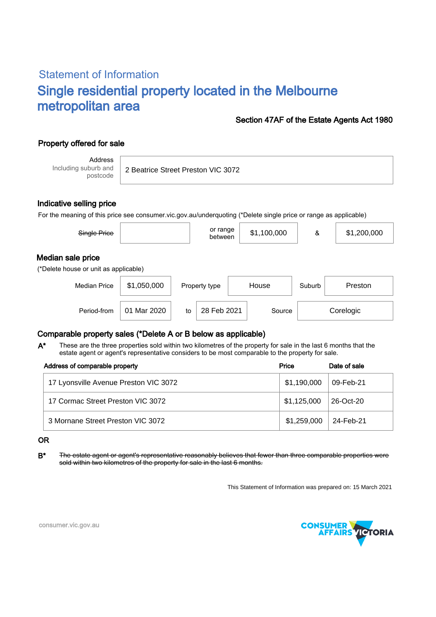# Statement of Information Single residential property located in the Melbourne metropolitan area

## Section 47AF of the Estate Agents Act 1980

## Property offered for sale

Address Including suburb and postcode

2 Beatrice Street Preston VIC 3072

#### Indicative selling price

For the meaning of this price see consumer.vic.gov.au/underquoting (\*Delete single price or range as applicable)

| Single Price                                               |             | or range<br>between | \$1,100,000 | &      | \$1,200,000 |
|------------------------------------------------------------|-------------|---------------------|-------------|--------|-------------|
| Median sale price<br>(*Delete house or unit as applicable) |             |                     |             |        |             |
| <b>Median Price</b>                                        | \$1,050,000 | Property type       | House       | Suburb | Preston     |

## Comparable property sales (\*Delete A or B below as applicable)

These are the three properties sold within two kilometres of the property for sale in the last 6 months that the estate agent or agent's representative considers to be most comparable to the property for sale. A\*

Period-from  $\vert$  01 Mar 2020  $\vert$  to  $\vert$  28 Feb 2021  $\vert$  Source

| Address of comparable property        | Price       | Date of sale           |
|---------------------------------------|-------------|------------------------|
| 17 Lyonsville Avenue Preston VIC 3072 | \$1,190,000 | <sup>⊢</sup> 09-Feb-21 |
| 17 Cormac Street Preston VIC 3072     | \$1,125,000 | 26-Oct-20              |
| 3 Mornane Street Preston VIC 3072     | \$1,259,000 | 24-Feb-21              |

#### OR

B<sup>\*</sup> The estate agent or agent's representative reasonably believes that fewer than three comparable properties were sold within two kilometres of the property for sale in the last 6 months.

This Statement of Information was prepared on: 15 March 2021

28 Feb 2021 Source Corelogic



consumer.vic.gov.au